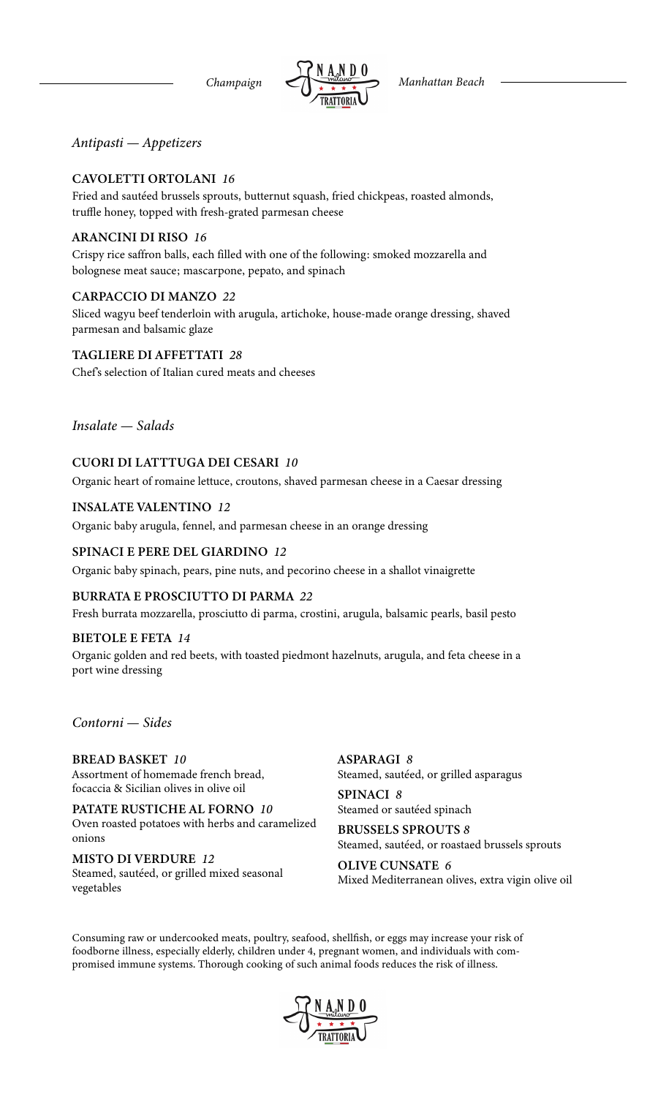*Antipasti — Appetizers*

### CAVOLETTI ORTOLANI *16*

Fried and sautéed brussels sprouts, butternut squash, fried chickpeas, roasted almonds, truffle honey, topped with fresh-grated parmesan cheese

#### ARANCINI DI RISO *16*

Crispy rice saffron balls, each filled with one of the following: smoked mozzarella and bolognese meat sauce; mascarpone, pepato, and spinach

#### CARPACCIO DI MANZO *22*

Sliced wagyu beef tenderloin with arugula, artichoke, house-made orange dressing, shaved parmesan and balsamic glaze

TAGLIERE DI AFFETTATI *28*

Chef's selection of Italian cured meats and cheeses

*Insalate — Salads*

#### CUORI DI LATTTUGA DEI CESARI *10*

Organic heart of romaine lettuce, croutons, shaved parmesan cheese in a Caesar dressing

#### INSALATE VALENTINO *12*

Organic baby arugula, fennel, and parmesan cheese in an orange dressing

#### SPINACI E PERE DEL GIARDINO *12*

Organic baby spinach, pears, pine nuts, and pecorino cheese in a shallot vinaigrette

#### BURRATA E PROSCIUTTO DI PARMA *22*

Fresh burrata mozzarella, prosciutto di parma, crostini, arugula, balsamic pearls, basil pesto

#### BIETOLE E FETA *14*

Organic golden and red beets, with toasted piedmont hazelnuts, arugula, and feta cheese in a port wine dressing

### *Contorni — Sides*

BREAD BASKET *10* Assortment of homemade french bread, focaccia & Sicilian olives in olive oil

PATATE RUSTICHE AL FORNO *10* Oven roasted potatoes with herbs and caramelized onions

MISTO DI VERDURE *12* Steamed, sautéed, or grilled mixed seasonal vegetables

ASPARAGI *8* Steamed, sautéed, or grilled asparagus

SPINACI *8* Steamed or sautéed spinach

BRUSSELS SPROUTS *8* Steamed, sautéed, or roastaed brussels sprouts

OLIVE CUNSATE *6* Mixed Mediterranean olives, extra vigin olive oil

Consuming raw or undercooked meats, poultry, seafood, shellfish, or eggs may increase your risk of foodborne illness, especially elderly, children under 4, pregnant women, and individuals with compromised immune systems. Thorough cooking of such animal foods reduces the risk of illness.